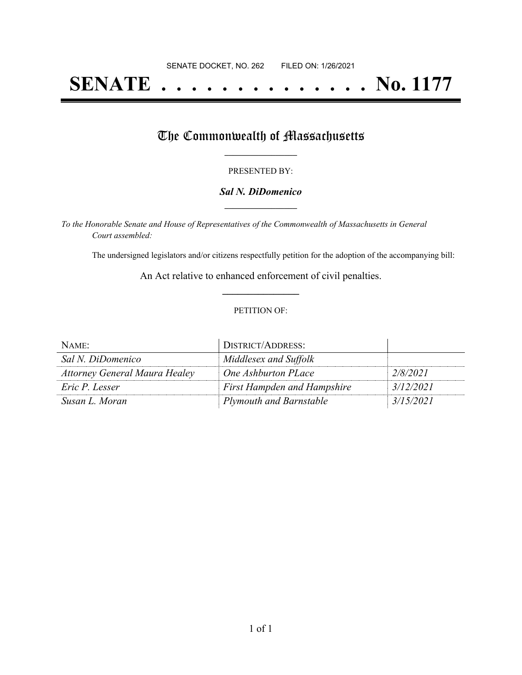# **SENATE . . . . . . . . . . . . . . No. 1177**

## The Commonwealth of Massachusetts

#### PRESENTED BY:

#### *Sal N. DiDomenico* **\_\_\_\_\_\_\_\_\_\_\_\_\_\_\_\_\_**

*To the Honorable Senate and House of Representatives of the Commonwealth of Massachusetts in General Court assembled:*

The undersigned legislators and/or citizens respectfully petition for the adoption of the accompanying bill:

An Act relative to enhanced enforcement of civil penalties. **\_\_\_\_\_\_\_\_\_\_\_\_\_\_\_**

#### PETITION OF:

| NAME:                                | DISTRICT/ADDRESS:                  |           |
|--------------------------------------|------------------------------------|-----------|
| Sal N. DiDomenico                    | Middlesex and Suffolk              |           |
| <b>Attorney General Maura Healey</b> | One Ashburton PLace                | 2/8/2021  |
| Eric P. Lesser                       | <b>First Hampden and Hampshire</b> | 3/12/2021 |
| Susan L. Moran                       | <b>Plymouth and Barnstable</b>     | 3/15/2021 |